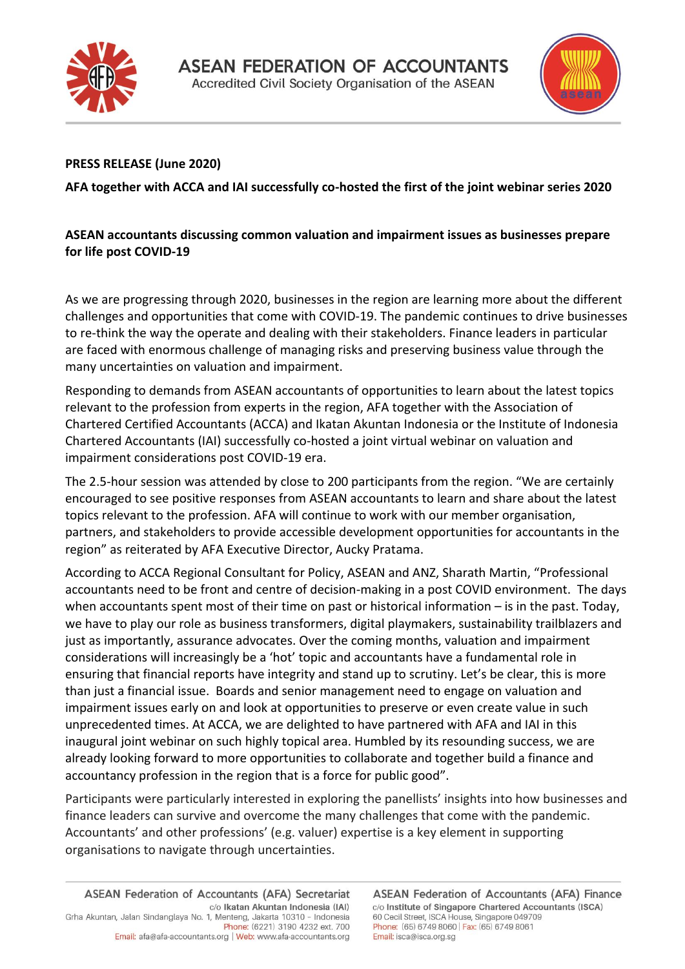



## **PRESS RELEASE (June 2020)**

**AFA together with ACCA and IAI successfully co-hosted the first of the joint webinar series 2020**

## **ASEAN accountants discussing common valuation and impairment issues as businesses prepare for life post COVID-19**

As we are progressing through 2020, businesses in the region are learning more about the different challenges and opportunities that come with COVID-19. The pandemic continues to drive businesses to re-think the way the operate and dealing with their stakeholders. Finance leaders in particular are faced with enormous challenge of managing risks and preserving business value through the many uncertainties on valuation and impairment.

Responding to demands from ASEAN accountants of opportunities to learn about the latest topics relevant to the profession from experts in the region, AFA together with the Association of Chartered Certified Accountants (ACCA) and Ikatan Akuntan Indonesia or the Institute of Indonesia Chartered Accountants (IAI) successfully co-hosted a joint virtual webinar on valuation and impairment considerations post COVID-19 era.

The 2.5-hour session was attended by close to 200 participants from the region. "We are certainly encouraged to see positive responses from ASEAN accountants to learn and share about the latest topics relevant to the profession. AFA will continue to work with our member organisation, partners, and stakeholders to provide accessible development opportunities for accountants in the region" as reiterated by AFA Executive Director, Aucky Pratama.

According to ACCA Regional Consultant for Policy, ASEAN and ANZ, Sharath Martin, "Professional accountants need to be front and centre of decision-making in a post COVID environment. The days when accountants spent most of their time on past or historical information – is in the past. Today, we have to play our role as business transformers, digital playmakers, sustainability trailblazers and just as importantly, assurance advocates. Over the coming months, valuation and impairment considerations will increasingly be a 'hot' topic and accountants have a fundamental role in ensuring that financial reports have integrity and stand up to scrutiny. Let's be clear, this is more than just a financial issue. Boards and senior management need to engage on valuation and impairment issues early on and look at opportunities to preserve or even create value in such unprecedented times. At ACCA, we are delighted to have partnered with AFA and IAI in this inaugural joint webinar on such highly topical area. Humbled by its resounding success, we are already looking forward to more opportunities to collaborate and together build a finance and accountancy profession in the region that is a force for public good".

Participants were particularly interested in exploring the panellists' insights into how businesses and finance leaders can survive and overcome the many challenges that come with the pandemic. Accountants' and other professions' (e.g. valuer) expertise is a key element in supporting organisations to navigate through uncertainties.